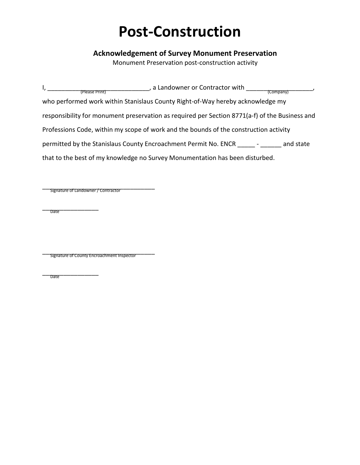## **Post-Construction**

## **Acknowledgement of Survey Monument Preservation**

Monument Preservation post-construction activity

| , a Landowner or Contractor with<br>(Please Print)<br>(Company)                                |           |
|------------------------------------------------------------------------------------------------|-----------|
| who performed work within Stanislaus County Right-of-Way hereby acknowledge my                 |           |
| responsibility for monument preservation as required per Section 8771(a-f) of the Business and |           |
| Professions Code, within my scope of work and the bounds of the construction activity          |           |
| permitted by the Stanislaus County Encroachment Permit No. ENCR                                | and state |
| that to the best of my knowledge no Survey Monumentation has been disturbed.                   |           |

\_\_\_\_\_\_\_\_\_\_\_\_\_\_\_\_\_\_\_\_\_\_\_\_\_\_\_\_\_\_\_\_ Signature of Landowner / Contractor

\_\_\_\_\_\_\_\_\_\_\_\_\_\_\_\_ Date

\_\_\_\_\_\_\_\_\_\_\_\_\_\_\_\_\_\_\_\_\_\_\_\_\_\_\_\_\_\_\_\_ Signature of County Encroachment Inspector

 $\overline{\phantom{a}}$ 

**Date**